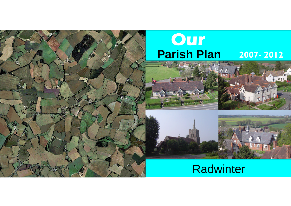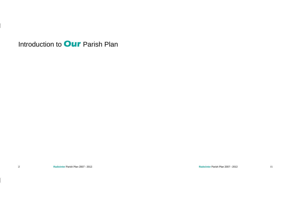**Radwinter** Parish Plan 2007 - 2012 15

Introduction to **Our** Parish Plan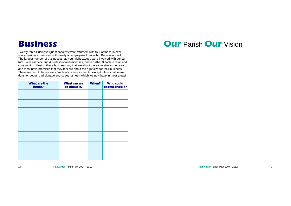**Radwinter** Parish Plan 2007 - 2012 **3** 



Twenty-three Business Questionnaires were returned, with four of these in exclusively business premises, with nearly all employees from within Radwinter itself. The largest number of businesses, as you might expect, were involved with agriculture, with 4service and 4 professional businesses, and a further 3 each in retail and construction. Most of these business say that are about the same size as last year, and most have premises that they feel are about the right size for their business. There seemed to be no real complaints or requirements, except a few small mentions for better road signage and street names—which we now have in most areas!

#### **Business**

| What are the<br><b>Issues?</b> | What can we<br>do about it? | When? | Who could<br>be responsible? |
|--------------------------------|-----------------------------|-------|------------------------------|
|                                |                             |       |                              |
|                                |                             |       |                              |
|                                |                             |       |                              |
|                                |                             |       |                              |
|                                |                             |       |                              |
|                                |                             |       |                              |
|                                |                             |       |                              |
|                                |                             |       |                              |

#### **Our** Parish **Our** Vision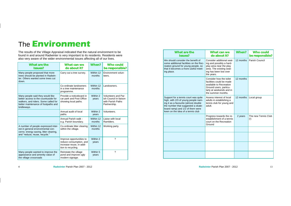4 **Radwinter** Parish Plan 2007 - 2012

**Radwinter** Parish Plan 2007 - 2012 13

The results of the Village Appraisal indicated that the natural environment to be found in and around Radwinter is very important to its residents. Residents were also very aware of the wider environmental issues affecting all of our lives.

## The **Environment**

| What are the<br><b>Issues?</b>                                                                                                                                         | What can we<br>do about it?                                                                           | When?               | Who could<br>be responsible?                                                              |
|------------------------------------------------------------------------------------------------------------------------------------------------------------------------|-------------------------------------------------------------------------------------------------------|---------------------|-------------------------------------------------------------------------------------------|
| Many people proposed that more<br>trees should be planted in Radwin-<br>ter. Others wanted some trees cut<br>down.                                                     | Carry out a tree survey.                                                                              | Within 12<br>months | Environment volun-<br>teers.                                                              |
|                                                                                                                                                                        | Co-ordinate landowners<br>in a tree maintenance<br>programme.                                         | Within 12<br>months | Landowners.                                                                               |
| Many people said they would like<br>better access to the countryside for<br>walkers, and riders. Some called for<br>better maintenance of footpaths and<br>bridleways. | Provide a noticeboard in<br>car park and Post Office<br>showing local paths.                          | Within 2<br>years   | <b>Volunteers and Par-</b><br>ish Council in liaison<br>with Parish Paths<br>Partnership. |
|                                                                                                                                                                        | Annual audit of local<br>paths.                                                                       | Within 2<br>years   | Volunteers.                                                                               |
|                                                                                                                                                                        | Annual Parish walk -<br>e.g. Parish boundary.                                                         | Within 12<br>months | Liaise with local<br>Ramblers.                                                            |
| A number of people expressed inter-<br>est in general environmental con-<br>cerns: energy saving, litter clearing,<br>and "reduce, reuse, recycle."                    | Co-ordinate litter clearing<br>within the village.                                                    | Within 12<br>months | Working party.                                                                            |
|                                                                                                                                                                        | Improve opportunities to<br>reduce consumption, and<br>increase reuse, in addi-<br>tion to recycling. | Within 2<br>years   | ?                                                                                         |
| Many people wanted to improve the<br>appearance and amenity value of<br>the village crossroads                                                                         | Reinstate the village<br>pond and improve ugly<br>modern signage.                                     | Within 5<br>years   | ?                                                                                         |

| What are the<br><b>Issues?</b>                                                                                                                                                                                                     | What can we<br>do about it?                                                                                                                                | When?     | Who could<br>be responsible? |
|------------------------------------------------------------------------------------------------------------------------------------------------------------------------------------------------------------------------------------|------------------------------------------------------------------------------------------------------------------------------------------------------------|-----------|------------------------------|
| We should consider the benefit of<br>some additional facilities on the Rec-<br>reation ground for young people, so<br>that it becomes a more useful meet-<br>ing place.                                                            | Consider additional seat-<br>ing and possibly a hard-<br>play area near the play<br>area. The existing seat-<br>ing has been lost over<br>the years.       | 12 months | Parish Council               |
|                                                                                                                                                                                                                                    | Consider how the toilet<br>facilities could be made<br>available to Recreation<br>Ground users, particu-<br>larly at weekends and in<br>the summer months. | 12 months |                              |
| Support for a tennis court was quite<br>high, with 2/3 of young people nam-<br>ing it as a favourite (almost double<br>the number that suggested a skate-<br>board ramp) and 1/2 of them were<br>keen on the idea of a tennis club | Assess interest of local<br>adults in establishing a<br>tennis club for young and<br>adult.                                                                | 12 months | Local group                  |
|                                                                                                                                                                                                                                    | Progress towards the re-<br>establishment of a tennis<br>court on the Recreation<br>Ground                                                                 | 2 years   | The new Tennis Club<br>(!)   |
|                                                                                                                                                                                                                                    |                                                                                                                                                            |           |                              |
|                                                                                                                                                                                                                                    |                                                                                                                                                            |           |                              |
|                                                                                                                                                                                                                                    |                                                                                                                                                            |           |                              |
|                                                                                                                                                                                                                                    |                                                                                                                                                            |           |                              |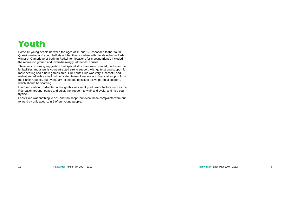Some 48 young people between the ages of 11 and 17 responded to the Youth Questionnaire, and about half stated that they socialise with friends either in Radwinter or Cambridge or both. In Radwinter, locations for meeting friends included the recreation ground and, overwhelmingly, at friends' houses.

Least liked was "nothing to do", and "no shop", but even these complaints were put forward by only about 1 in 6 of our young people.

There was no strong suggestion that special structures were wanted, but better toilet facilities and a tennis court attracted strong support, with quite strong support for more seating and a hard games area. Our Youth Club was very successful and well-attended with a small but dedicated team of leaders and financial support from the Parish Council, but eventually folded due to lack of active parental support , which should be shaming.

Liked most about Radwinter, although this was weakly felt, were factors such as the Recreation ground, peace and quiet, the freedom to walk and cycle, and nice countryside.

## **Youth**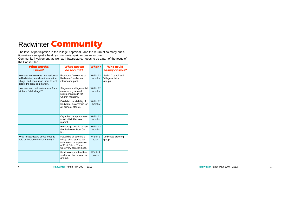6 **Radwinter** Parish Plan 2007 - 2012

The level of participation in the Village Appraisal - and the return of so many questionnaires - suggest a healthy community spirit, or desire for one. Community involvement, as well as infrastructure, needs to be a part of the focus of the Parish Plan.

#### Radwinter **Community**

| What are the<br><b>Issues?</b>                                                                                                                 | What can we<br>do about it?                                                                                                          | When?               | Who could<br>be responsible?                      |
|------------------------------------------------------------------------------------------------------------------------------------------------|--------------------------------------------------------------------------------------------------------------------------------------|---------------------|---------------------------------------------------|
| How can we welcome new residents<br>to Radwinter, introduce them to the<br>village, and encourage them to feel<br>part of the local community? | Produce a "Welcome to<br>Radwinter" leaflet and<br>information pack.                                                                 | Within 12<br>months | Parish Council and<br>Village activity<br>groups. |
| How can we continue to make Rad-<br>winter a "vital village"?                                                                                  | Stage more village social<br>events - e.g. annual<br>Summer picnic in the<br>Church meadow.                                          | Within 12<br>months |                                                   |
|                                                                                                                                                | Establish the viability of<br>Radwinter as a venue for<br>a Farmers' Market.                                                         | Within 12<br>months |                                                   |
|                                                                                                                                                | Organise transport share<br>to Wimbish Farmers<br>market.                                                                            | Within 12<br>months |                                                   |
|                                                                                                                                                | Encourage people to use<br>the Radwinter Post Of-<br>fice.                                                                           | Within 12<br>months |                                                   |
| What infrastructure do we need to<br>help us improve the community?                                                                            | Feasibility of opening a<br>village shop staffed by<br>volunteers, or expansion<br>of Post Office. These<br>were very popular ideas. | Within 2<br>vears   | Dedicated steering<br>group.                      |
|                                                                                                                                                | Provide our youth with a<br>shelter on the recreation<br>ground.                                                                     | Within 2<br>years   |                                                   |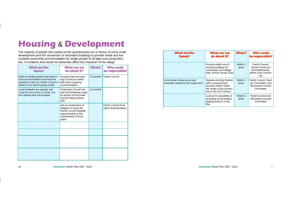The majority of people who replied to the questionnaire are in favour of some small development and the conversion of redundant buildings to provide rental and low cost/part ownership accommodation for single people of all ages and young families, in locations that would not adversely affect the character of the village.

## **Housing** & **Development**

| What are the<br><b>Issues?</b>                                                                                                                            | What can we<br>do about it?                                                                                                           | When?     | <b>Who could</b><br>be responsible?          |
|-----------------------------------------------------------------------------------------------------------------------------------------------------------|---------------------------------------------------------------------------------------------------------------------------------------|-----------|----------------------------------------------|
| Need to identify parties interested in<br>local accommodation and keep list<br>updated so that our Parish Council is<br>aware of our local housing needs. | Arrange informal meet-<br>ings to discuss needs<br>with those requiring<br>accommodation.                                             | 12 months | <b>Parish Council</b>                        |
| Local footpaths are popular and<br>could be even more so if their use<br>and upkeep was encouraged.                                                       | Production of local foot-<br>path and bridleway maps<br>by groups of local walk-<br>ing and riding enthusi-<br>asts                   | 12 months |                                              |
|                                                                                                                                                           | Set up small teams of<br>villagers to assist the<br>Parish Council footpath<br>representative in the<br>maintenance of local<br>paths |           | Parish Council Foot-<br>paths Representative |
|                                                                                                                                                           |                                                                                                                                       |           |                                              |
|                                                                                                                                                           |                                                                                                                                       |           |                                              |
|                                                                                                                                                           |                                                                                                                                       |           |                                              |
|                                                                                                                                                           |                                                                                                                                       |           |                                              |

| What are the<br><b>Issues?</b>                                       | What can we<br>do about it?                                                                                                       | When?             | Who could<br>be responsible?                                                                      |
|----------------------------------------------------------------------|-----------------------------------------------------------------------------------------------------------------------------------|-------------------|---------------------------------------------------------------------------------------------------|
|                                                                      | Promote wider use of<br>existing buildings for<br>community use (Village<br>Hall, School, Bowls Club)                             | Within 2<br>years | Parish Council,<br><b>School Governors</b><br>and Headmaster,<br><b>Bowls Club Commit-</b><br>tee |
| Community infrastructure and<br>amenities needed in the longer term. | Replace existing Pavilion<br>with a purpose-built<br>structure which meets<br>the needs of the commu-<br>nity in the 21st Century | Within 5<br>years | Parish Council, Pavil-<br>ion Committee, and<br><b>Recreation Ground</b><br>Committee.            |
|                                                                      | Look at the possibility of<br>providing an all-weather<br>playing surface on the<br>Rec.                                          | Within 5<br>years | Parish Council and<br><b>Recreation Ground</b><br>Committee                                       |

**Radwinter** Parish Plan 2007 - 2012 **7**